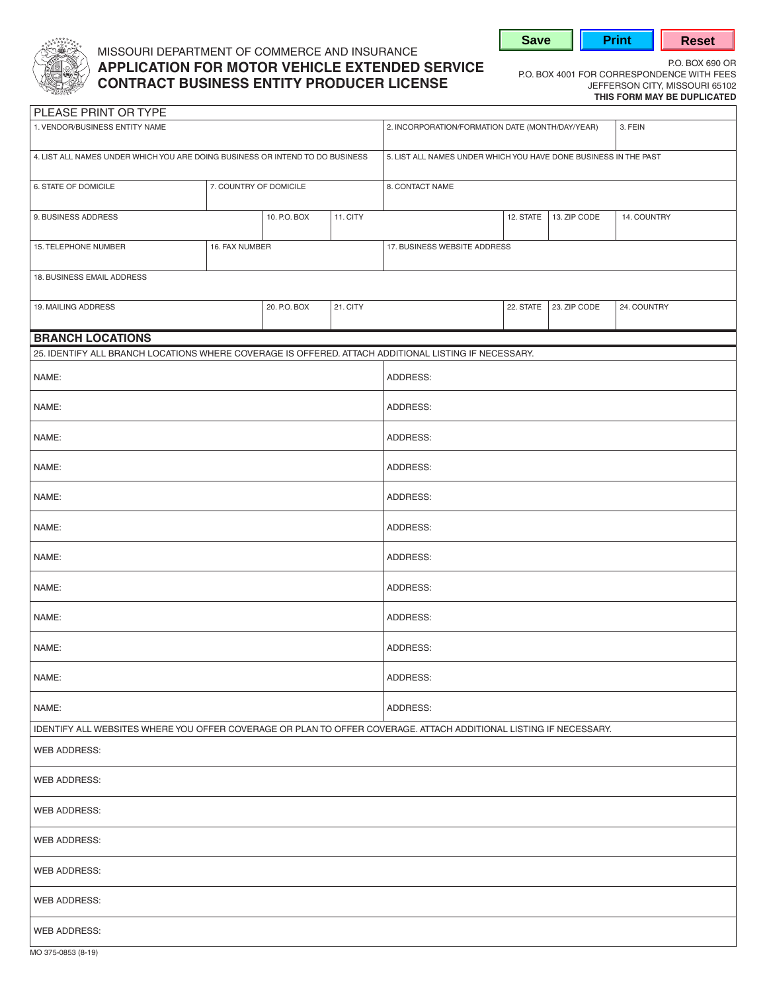

## MISSOURI DEPARTMENT OF COMMERCE AND INSURANCE **P.O. BOX 690 OR MOTOR VEHICLE EXTENDED SERVICE** P.O. BOX 4001 FOR CORRESPONDENCE WITH FEES<br>CONTRACT BUSINESS ENTITY PRODUCER LICENSE POR BOX 4001 FOR CORRESPONDENCE WITH FEES **CONTRACT BUSINESS ENTITY PRODUCER LICENSE**

**Save | Print | Reset** 

**THIS FORM MAY BE DUPLICATED** 

| PLEASE PRINT OR TYPE                                                                                              |                        |              |          |                                                                  |           |              |             |  |
|-------------------------------------------------------------------------------------------------------------------|------------------------|--------------|----------|------------------------------------------------------------------|-----------|--------------|-------------|--|
| 1. VENDOR/BUSINESS ENTITY NAME                                                                                    |                        |              |          | 2. INCORPORATION/FORMATION DATE (MONTH/DAY/YEAR)<br>3. FEIN      |           |              |             |  |
| 4. LIST ALL NAMES UNDER WHICH YOU ARE DOING BUSINESS OR INTEND TO DO BUSINESS                                     |                        |              |          | 5. LIST ALL NAMES UNDER WHICH YOU HAVE DONE BUSINESS IN THE PAST |           |              |             |  |
| 6. STATE OF DOMICILE                                                                                              | 7. COUNTRY OF DOMICILE |              |          | 8. CONTACT NAME                                                  |           |              |             |  |
| 9. BUSINESS ADDRESS                                                                                               |                        | 10. P.O. BOX | 11. CITY |                                                                  | 12. STATE | 13. ZIP CODE | 14. COUNTRY |  |
| 15. TELEPHONE NUMBER                                                                                              | 16. FAX NUMBER         |              |          | 17. BUSINESS WEBSITE ADDRESS                                     |           |              |             |  |
| 18. BUSINESS EMAIL ADDRESS                                                                                        |                        |              |          |                                                                  |           |              |             |  |
| 19. MAILING ADDRESS                                                                                               |                        | 20. P.O. BOX | 21. CITY |                                                                  | 22. STATE | 23. ZIP CODE | 24. COUNTRY |  |
| <b>BRANCH LOCATIONS</b>                                                                                           |                        |              |          |                                                                  |           |              |             |  |
| 25. IDENTIFY ALL BRANCH LOCATIONS WHERE COVERAGE IS OFFERED. ATTACH ADDITIONAL LISTING IF NECESSARY.              |                        |              |          |                                                                  |           |              |             |  |
| NAME:                                                                                                             |                        |              |          | ADDRESS:                                                         |           |              |             |  |
| NAME:                                                                                                             |                        |              |          | ADDRESS:                                                         |           |              |             |  |
| NAME:                                                                                                             |                        |              |          | ADDRESS:                                                         |           |              |             |  |
| NAME:                                                                                                             |                        |              |          | ADDRESS:                                                         |           |              |             |  |
| NAME:                                                                                                             |                        |              | ADDRESS: |                                                                  |           |              |             |  |
| NAME:                                                                                                             |                        |              |          | ADDRESS:                                                         |           |              |             |  |
| NAME:                                                                                                             |                        |              |          | ADDRESS:                                                         |           |              |             |  |
| NAME:                                                                                                             |                        |              |          | ADDRESS:                                                         |           |              |             |  |
| NAME:                                                                                                             |                        |              |          | ADDRESS:                                                         |           |              |             |  |
| NAME:                                                                                                             |                        |              |          | ADDRESS:                                                         |           |              |             |  |
| NAME:                                                                                                             |                        |              |          | ADDRESS:                                                         |           |              |             |  |
| NAME:                                                                                                             |                        |              |          | ADDRESS:                                                         |           |              |             |  |
| IDENTIFY ALL WEBSITES WHERE YOU OFFER COVERAGE OR PLAN TO OFFER COVERAGE. ATTACH ADDITIONAL LISTING IF NECESSARY. |                        |              |          |                                                                  |           |              |             |  |
| WEB ADDRESS:                                                                                                      |                        |              |          |                                                                  |           |              |             |  |
| <b>WEB ADDRESS:</b>                                                                                               |                        |              |          |                                                                  |           |              |             |  |
| <b>WEB ADDRESS:</b>                                                                                               |                        |              |          |                                                                  |           |              |             |  |
| WEB ADDRESS:                                                                                                      |                        |              |          |                                                                  |           |              |             |  |
| WEB ADDRESS:                                                                                                      |                        |              |          |                                                                  |           |              |             |  |
| WEB ADDRESS:                                                                                                      |                        |              |          |                                                                  |           |              |             |  |
| <b>WEB ADDRESS:</b>                                                                                               |                        |              |          |                                                                  |           |              |             |  |

MO 375-0853 (8-19)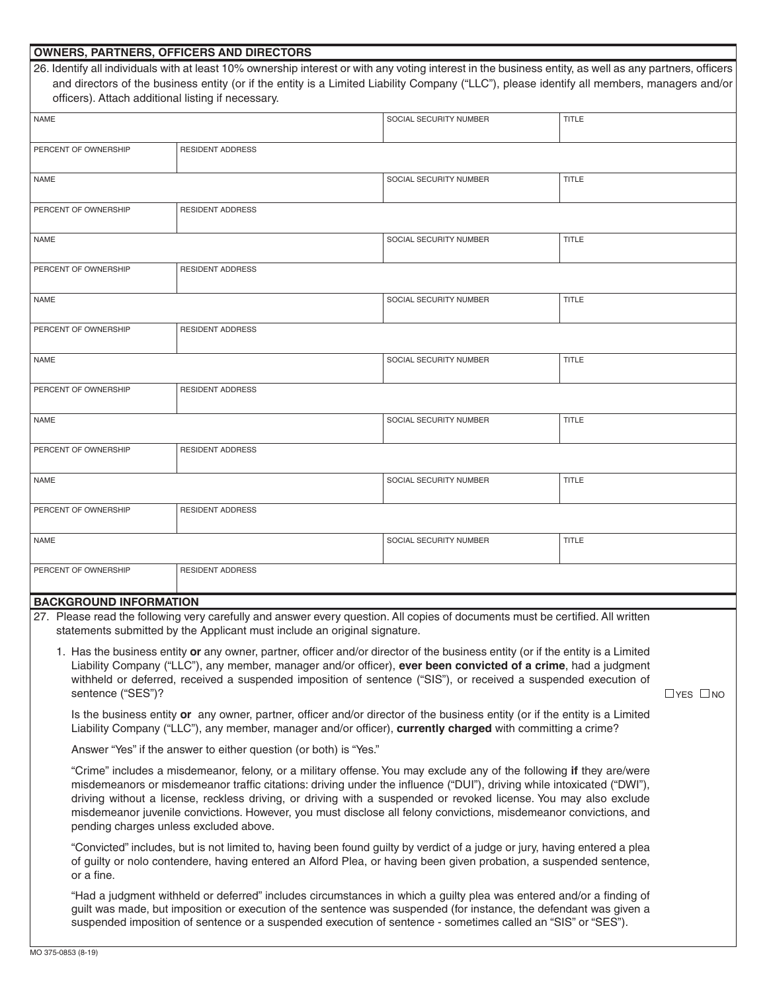| <b>OWNERS, PARTNERS, OFFICERS AND DIRECTORS</b><br>26. Identify all individuals with at least 10% ownership interest or with any voting interest in the business entity, as well as any partners, officers  |                         |                        |              |  |  |  |
|-------------------------------------------------------------------------------------------------------------------------------------------------------------------------------------------------------------|-------------------------|------------------------|--------------|--|--|--|
|                                                                                                                                                                                                             |                         |                        |              |  |  |  |
| and directors of the business entity (or if the entity is a Limited Liability Company ("LLC"), please identify all members, managers and/or                                                                 |                         |                        |              |  |  |  |
| officers). Attach additional listing if necessary.                                                                                                                                                          |                         |                        |              |  |  |  |
| <b>NAME</b>                                                                                                                                                                                                 |                         | SOCIAL SECURITY NUMBER | <b>TITLE</b> |  |  |  |
|                                                                                                                                                                                                             |                         |                        |              |  |  |  |
| PERCENT OF OWNERSHIP                                                                                                                                                                                        | <b>RESIDENT ADDRESS</b> |                        |              |  |  |  |
| NAME                                                                                                                                                                                                        |                         | SOCIAL SECURITY NUMBER | <b>TITLE</b> |  |  |  |
|                                                                                                                                                                                                             |                         |                        |              |  |  |  |
| PERCENT OF OWNERSHIP                                                                                                                                                                                        | <b>RESIDENT ADDRESS</b> |                        |              |  |  |  |
|                                                                                                                                                                                                             |                         |                        |              |  |  |  |
| NAME                                                                                                                                                                                                        |                         | SOCIAL SECURITY NUMBER | <b>TITLE</b> |  |  |  |
|                                                                                                                                                                                                             |                         |                        |              |  |  |  |
| PERCENT OF OWNERSHIP                                                                                                                                                                                        | <b>RESIDENT ADDRESS</b> |                        |              |  |  |  |
|                                                                                                                                                                                                             |                         |                        |              |  |  |  |
| NAME                                                                                                                                                                                                        |                         | SOCIAL SECURITY NUMBER | <b>TITLE</b> |  |  |  |
|                                                                                                                                                                                                             |                         |                        |              |  |  |  |
| PERCENT OF OWNERSHIP                                                                                                                                                                                        | <b>RESIDENT ADDRESS</b> |                        |              |  |  |  |
|                                                                                                                                                                                                             |                         |                        |              |  |  |  |
| NAME                                                                                                                                                                                                        |                         | SOCIAL SECURITY NUMBER | <b>TITLE</b> |  |  |  |
|                                                                                                                                                                                                             |                         |                        |              |  |  |  |
| PERCENT OF OWNERSHIP                                                                                                                                                                                        | <b>RESIDENT ADDRESS</b> |                        |              |  |  |  |
|                                                                                                                                                                                                             |                         |                        |              |  |  |  |
| NAME                                                                                                                                                                                                        |                         | SOCIAL SECURITY NUMBER | <b>TITLE</b> |  |  |  |
|                                                                                                                                                                                                             |                         |                        |              |  |  |  |
| PERCENT OF OWNERSHIP                                                                                                                                                                                        | <b>RESIDENT ADDRESS</b> |                        |              |  |  |  |
|                                                                                                                                                                                                             |                         |                        |              |  |  |  |
| NAME                                                                                                                                                                                                        |                         | SOCIAL SECURITY NUMBER | <b>TITLE</b> |  |  |  |
|                                                                                                                                                                                                             |                         |                        |              |  |  |  |
| PERCENT OF OWNERSHIP                                                                                                                                                                                        | <b>RESIDENT ADDRESS</b> |                        |              |  |  |  |
|                                                                                                                                                                                                             |                         |                        |              |  |  |  |
| NAME                                                                                                                                                                                                        |                         | SOCIAL SECURITY NUMBER | <b>TITLE</b> |  |  |  |
|                                                                                                                                                                                                             |                         |                        |              |  |  |  |
| PERCENT OF OWNERSHIP                                                                                                                                                                                        | <b>RESIDENT ADDRESS</b> |                        |              |  |  |  |
|                                                                                                                                                                                                             |                         |                        |              |  |  |  |
| <b>BACKGROUND INFORMATION</b>                                                                                                                                                                               |                         |                        |              |  |  |  |
|                                                                                                                                                                                                             |                         |                        |              |  |  |  |
| 27. Please read the following very carefully and answer every question. All copies of documents must be certified. All written<br>statements submitted by the Applicant must include an original signature. |                         |                        |              |  |  |  |
|                                                                                                                                                                                                             |                         |                        |              |  |  |  |
| 1. Has the business entity or any owner, partner, officer and/or director of the business entity (or if the entity is a Limited                                                                             |                         |                        |              |  |  |  |
| Liability Company ("LLC"), any member, manager and/or officer), ever been convicted of a crime, had a judgment                                                                                              |                         |                        |              |  |  |  |
| withheld or deferred, received a suspended imposition of sentence ("SIS"), or received a suspended execution of                                                                                             |                         |                        |              |  |  |  |
| sentence ("SES")?<br>$\Box$ YES $\Box$ NO                                                                                                                                                                   |                         |                        |              |  |  |  |
| Is the business entity or any owner, partner, officer and/or director of the business entity (or if the entity is a Limited                                                                                 |                         |                        |              |  |  |  |
| Liability Company ("LLC"), any member, manager and/or officer), currently charged with committing a crime?                                                                                                  |                         |                        |              |  |  |  |
| Answer "Yes" if the answer to either question (or both) is "Yes."                                                                                                                                           |                         |                        |              |  |  |  |
|                                                                                                                                                                                                             |                         |                        |              |  |  |  |
| "Crime" includes a misdemeanor, felony, or a military offense. You may exclude any of the following if they are/were                                                                                        |                         |                        |              |  |  |  |
| misdemeanors or misdemeanor traffic citations: driving under the influence ("DUI"), driving while intoxicated ("DWI"),                                                                                      |                         |                        |              |  |  |  |
| driving without a license, reckless driving, or driving with a suspended or revoked license. You may also exclude                                                                                           |                         |                        |              |  |  |  |
| misdemeanor juvenile convictions. However, you must disclose all felony convictions, misdemeanor convictions, and<br>pending charges unless excluded above.                                                 |                         |                        |              |  |  |  |
|                                                                                                                                                                                                             |                         |                        |              |  |  |  |
| "Convicted" includes, but is not limited to, having been found guilty by verdict of a judge or jury, having entered a plea                                                                                  |                         |                        |              |  |  |  |
| of guilty or nolo contendere, having entered an Alford Plea, or having been given probation, a suspended sentence,                                                                                          |                         |                        |              |  |  |  |

or a fine. "Had a judgment withheld or deferred" includes circumstances in which a guilty plea was entered and/or a finding of guilt was made, but imposition or execution of the sentence was suspended (for instance, the defendant was given a suspended imposition of sentence or a suspended execution of sentence - sometimes called an "SIS" or "SES").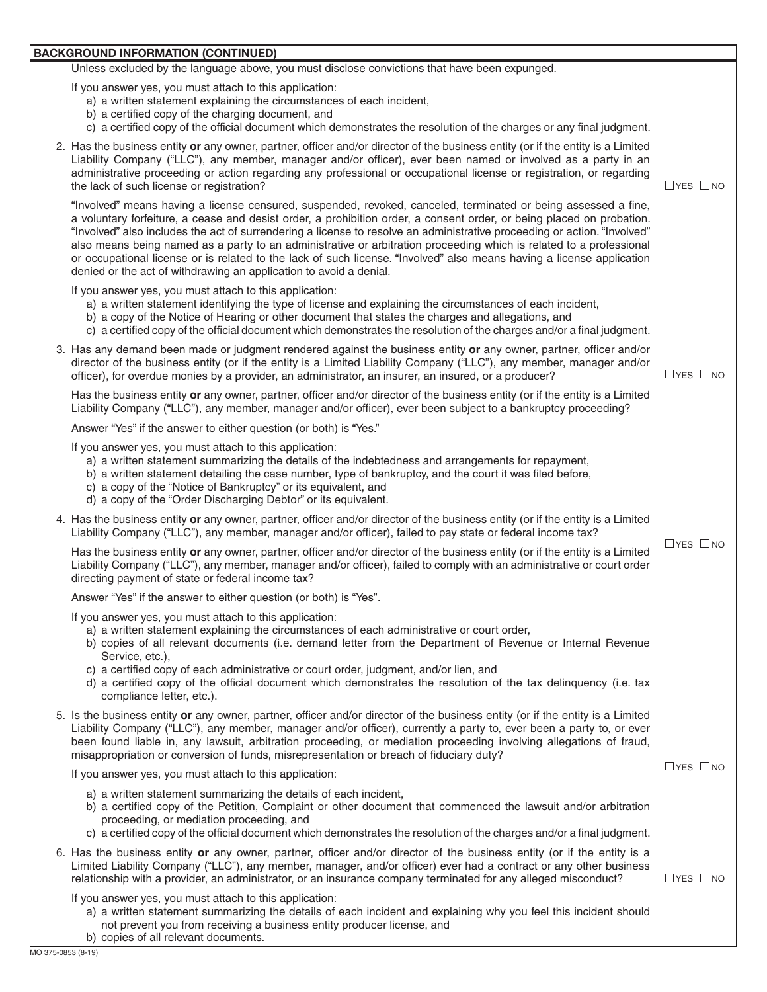## **BACKGROUND INFORMATION (CONTINUED)**

Unless excluded by the language above, you must disclose convictions that have been expunged.

If you answer yes, you must attach to this application:

- a) a written statement explaining the circumstances of each incident,
- b) a certified copy of the charging document, and
- c) a certified copy of the official document which demonstrates the resolution of the charges or any final judgment.
- 2. Has the business entity **or** any owner, partner, officer and/or director of the business entity (or if the entity is a Limited Liability Company ("LLC"), any member, manager and/or officer), ever been named or involved as a party in an administrative proceeding or action regarding any professional or occupational license or registration, or regarding the lack of such license or registration?  $\Box$  YES  $\Box$  NO

 "Involved" also includes the act of surrendering a license to resolve an administrative proceeding or action. "Involved" "Involved" means having a license censured, suspended, revoked, canceled, terminated or being assessed a fine, a voluntary forfeiture, a cease and desist order, a prohibition order, a consent order, or being placed on probation. also means being named as a party to an administrative or arbitration proceeding which is related to a professional or occupational license or is related to the lack of such license. "Involved" also means having a license application denied or the act of withdrawing an application to avoid a denial.

If you answer yes, you must attach to this application:

- a) a written statement identifying the type of license and explaining the circumstances of each incident,
- b) a copy of the Notice of Hearing or other document that states the charges and allegations, and
- c) a certified copy of the official document which demonstrates the resolution of the charges and/or a final judgment.
- 3. Has any demand been made or judgment rendered against the business entity **or** any owner, partner, officer and/or director of the business entity (or if the entity is a Limited Liability Company ("LLC"), any member, manager and/or officer), for overdue monies by a provider, an administrator, an insurer, an insured, or a producer?  $\Box$   $\Box$  YES  $\Box$  NO

Has the business entity **or** any owner, partner, officer and/or director of the business entity (or if the entity is a Limited Liability Company ("LLC"), any member, manager and/or officer), ever been subject to a bankruptcy proceeding?

Answer "Yes" if the answer to either question (or both) is "Yes."

If you answer yes, you must attach to this application:

- a) a written statement summarizing the details of the indebtedness and arrangements for repayment,
- b) a written statement detailing the case number, type of bankruptcy, and the court it was filed before,
- c) a copy of the "Notice of Bankruptcy" or its equivalent, and
- d) a copy of the "Order Discharging Debtor" or its equivalent.
- 4. Has the business entity **or** any owner, partner, officer and/or director of the business entity (or if the entity is a Limited Liability Company ("LLC"), any member, manager and/or officer), failed to pay state or federal income tax?

Has the business entity **or** any owner, partner, officer and/or director of the business entity (or if the entity is a Limited  $\Box$ YES  $\Box$ NO Liability Company ("LLC"), any member, manager and/or officer), failed to comply with an administrative or court order directing payment of state or federal income tax?

Answer "Yes" if the answer to either question (or both) is "Yes".

If you answer yes, you must attach to this application:

- a) a written statement explaining the circumstances of each administrative or court order,
- b) copies of all relevant documents (i.e. demand letter from the Department of Revenue or Internal Revenue Service, etc.),
- c) a certified copy of each administrative or court order, judgment, and/or lien, and
- d) a certified copy of the official document which demonstrates the resolution of the tax delinquency (i.e. tax compliance letter, etc.).
- 5. Is the business entity **or** any owner, partner, officer and/or director of the business entity (or if the entity is a Limited Liability Company ("LLC"), any member, manager and/or officer), currently a party to, ever been a party to, or ever been found liable in, any lawsuit, arbitration proceeding, or mediation proceeding involving allegations of fraud, misappropriation or conversion of funds, misrepresentation or breach of fiduciary duty?

If you answer yes, you must attach to this application:  $\Box$  YES  $\Box$  YES  $\Box$  NO

- a) a written statement summarizing the details of each incident,
- b) a certified copy of the Petition, Complaint or other document that commenced the lawsuit and/or arbitration proceeding, or mediation proceeding, and
- c) a certified copy of the official document which demonstrates the resolution of the charges and/or a final judgment.
- 6. Has the business entity **or** any owner, partner, officer and/or director of the business entity (or if the entity is a Limited Liability Company ("LLC"), any member, manager, and/or officer) ever had a contract or any other business relationship with a provider, an administrator, or an insurance company terminated for any alleged misconduct?  $\Box$  YES  $\Box$  NO

If you answer yes, you must attach to this application:

- a) a written statement summarizing the details of each incident and explaining why you feel this incident should not prevent you from receiving a business entity producer license, and b) copies of all relevant documents.
-